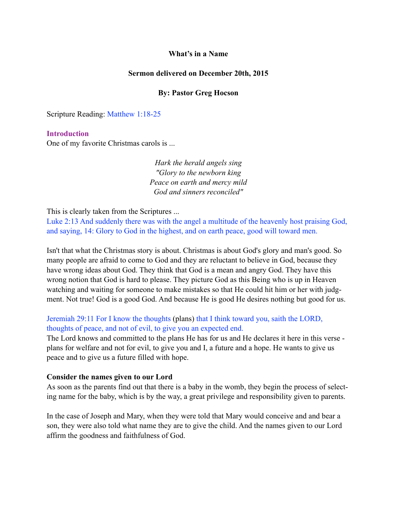### **What's in a Name**

### **Sermon delivered on December 20th, 2015**

## **By: Pastor Greg Hocson**

Scripture Reading: Matthew 1:18-25

### **Introduction**

One of my favorite Christmas carols is ...

*Hark the herald angels sing "Glory to the newborn king Peace on earth and mercy mild God and sinners reconciled"* 

This is clearly taken from the Scriptures ...

Luke 2:13 And suddenly there was with the angel a multitude of the heavenly host praising God, and saying, 14: Glory to God in the highest, and on earth peace, good will toward men.

Isn't that what the Christmas story is about. Christmas is about God's glory and man's good. So many people are afraid to come to God and they are reluctant to believe in God, because they have wrong ideas about God. They think that God is a mean and angry God. They have this wrong notion that God is hard to please. They picture God as this Being who is up in Heaven watching and waiting for someone to make mistakes so that He could hit him or her with judgment. Not true! God is a good God. And because He is good He desires nothing but good for us.

## Jeremiah 29:11 For I know the thoughts (plans) that I think toward you, saith the LORD, thoughts of peace, and not of evil, to give you an expected end.

The Lord knows and committed to the plans He has for us and He declares it here in this verse plans for welfare and not for evil, to give you and I, a future and a hope. He wants to give us peace and to give us a future filled with hope.

### **Consider the names given to our Lord**

As soon as the parents find out that there is a baby in the womb, they begin the process of selecting name for the baby, which is by the way, a great privilege and responsibility given to parents.

In the case of Joseph and Mary, when they were told that Mary would conceive and and bear a son, they were also told what name they are to give the child. And the names given to our Lord affirm the goodness and faithfulness of God.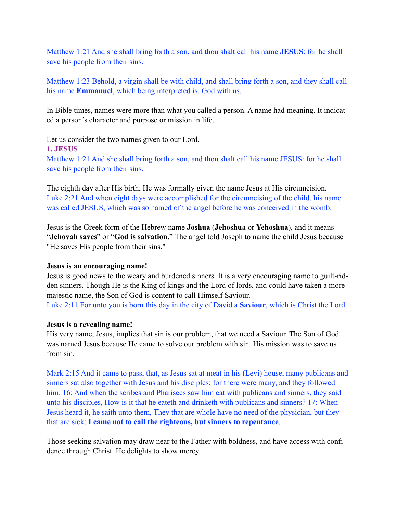Matthew 1:21 And she shall bring forth a son, and thou shalt call his name **JESUS**: for he shall save his people from their sins.

Matthew 1:23 Behold, a virgin shall be with child, and shall bring forth a son, and they shall call his name **Emmanuel**, which being interpreted is, God with us.

In Bible times, names were more than what you called a person. A name had meaning. It indicated a person's character and purpose or mission in life.

Let us consider the two names given to our Lord.

### **1. JESUS**

Matthew 1:21 And she shall bring forth a son, and thou shalt call his name JESUS: for he shall save his people from their sins.

The eighth day after His birth, He was formally given the name Jesus at His circumcision. Luke 2:21 And when eight days were accomplished for the circumcising of the child, his name was called JESUS, which was so named of the angel before he was conceived in the womb.

Jesus is the Greek form of the Hebrew name **Joshua** (**Jehoshua** or **Yehoshua**), and it means "**Jehovah saves**" or "**God is salvation**." The angel told Joseph to name the child Jesus because "He saves His people from their sins."

## **Jesus is an encouraging name!**

Jesus is good news to the weary and burdened sinners. It is a very encouraging name to guilt-ridden sinners. Though He is the King of kings and the Lord of lords, and could have taken a more majestic name, the Son of God is content to call Himself Saviour. Luke 2:11 For unto you is born this day in the city of David a **Saviour**, which is Christ the Lord.

## **Jesus is a revealing name!**

His very name, Jesus, implies that sin is our problem, that we need a Saviour. The Son of God was named Jesus because He came to solve our problem with sin. His mission was to save us from sin.

Mark 2:15 And it came to pass, that, as Jesus sat at meat in his (Levi) house, many publicans and sinners sat also together with Jesus and his disciples: for there were many, and they followed him. 16: And when the scribes and Pharisees saw him eat with publicans and sinners, they said unto his disciples, How is it that he eateth and drinketh with publicans and sinners? 17: When Jesus heard it, he saith unto them, They that are whole have no need of the physician, but they that are sick: **I came not to call the righteous, but sinners to repentance**.

Those seeking salvation may draw near to the Father with boldness, and have access with confidence through Christ. He delights to show mercy.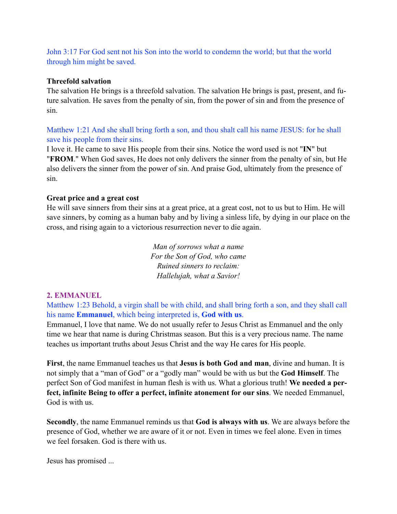John 3:17 For God sent not his Son into the world to condemn the world; but that the world through him might be saved.

## **Threefold salvation**

The salvation He brings is a threefold salvation. The salvation He brings is past, present, and future salvation. He saves from the penalty of sin, from the power of sin and from the presence of sin.

# Matthew 1:21 And she shall bring forth a son, and thou shalt call his name JESUS: for he shall save his people from their sins.

I love it. He came to save His people from their sins. Notice the word used is not "**IN**" but "**FROM**." When God saves, He does not only delivers the sinner from the penalty of sin, but He also delivers the sinner from the power of sin. And praise God, ultimately from the presence of sin.

## **Great price and a great cost**

He will save sinners from their sins at a great price, at a great cost, not to us but to Him. He will save sinners, by coming as a human baby and by living a sinless life, by dying in our place on the cross, and rising again to a victorious resurrection never to die again.

> *Man of sorrows what a name For the Son of God, who came Ruined sinners to reclaim: Hallelujah, what a Savior!*

## **2. EMMANUEL**

Matthew 1:23 Behold, a virgin shall be with child, and shall bring forth a son, and they shall call his name **Emmanuel**, which being interpreted is, **God with us**.

Emmanuel, I love that name. We do not usually refer to Jesus Christ as Emmanuel and the only time we hear that name is during Christmas season. But this is a very precious name. The name teaches us important truths about Jesus Christ and the way He cares for His people.

**First**, the name Emmanuel teaches us that **Jesus is both God and man**, divine and human. It is not simply that a "man of God" or a "godly man" would be with us but the **God Himself**. The perfect Son of God manifest in human flesh is with us. What a glorious truth! **We needed a perfect, infinite Being to offer a perfect, infinite atonement for our sins**. We needed Emmanuel, God is with us.

**Secondly**, the name Emmanuel reminds us that **God is always with us**. We are always before the presence of God, whether we are aware of it or not. Even in times we feel alone. Even in times we feel forsaken. God is there with us.

Jesus has promised ...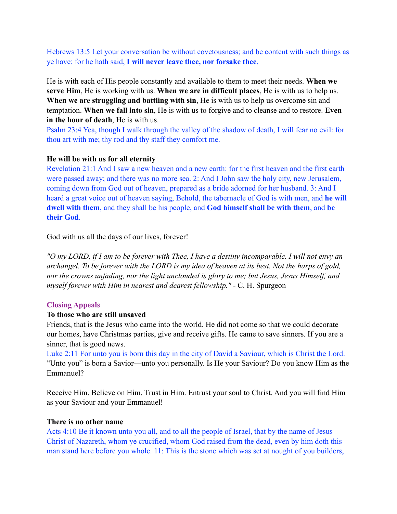Hebrews 13:5 Let your conversation be without covetousness; and be content with such things as ye have: for he hath said, **I will never leave thee, nor forsake thee**.

He is with each of His people constantly and available to them to meet their needs. **When we serve Him**, He is working with us. **When we are in difficult places**, He is with us to help us. **When we are struggling and battling with sin**, He is with us to help us overcome sin and temptation. **When we fall into sin**, He is with us to forgive and to cleanse and to restore. **Even in the hour of death**, He is with us.

Psalm 23:4 Yea, though I walk through the valley of the shadow of death, I will fear no evil: for thou art with me; thy rod and thy staff they comfort me.

### **He will be with us for all eternity**

Revelation 21:1 And I saw a new heaven and a new earth: for the first heaven and the first earth were passed away; and there was no more sea. 2: And I John saw the holy city, new Jerusalem, coming down from God out of heaven, prepared as a bride adorned for her husband. 3: And I heard a great voice out of heaven saying, Behold, the tabernacle of God is with men, and **he will dwell with them**, and they shall be his people, and **God himself shall be with them**, and **be their God**.

God with us all the days of our lives, forever!

*"O my LORD, if I am to be forever with Thee, I have a destiny incomparable. I will not envy an archangel. To be forever with the LORD is my idea of heaven at its best. Not the harps of gold, nor the crowns unfading, nor the light unclouded is glory to me; but Jesus, Jesus Himself, and myself forever with Him in nearest and dearest fellowship."* - C. H. Spurgeon

### **Closing Appeals**

### **To those who are still unsaved**

Friends, that is the Jesus who came into the world. He did not come so that we could decorate our homes, have Christmas parties, give and receive gifts. He came to save sinners. If you are a sinner, that is good news.

Luke 2:11 For unto you is born this day in the city of David a Saviour, which is Christ the Lord. "Unto you" is born a Savior—unto you personally. Is He your Saviour? Do you know Him as the Emmanuel?

Receive Him. Believe on Him. Trust in Him. Entrust your soul to Christ. And you will find Him as your Saviour and your Emmanuel!

#### **There is no other name**

Acts 4:10 Be it known unto you all, and to all the people of Israel, that by the name of Jesus Christ of Nazareth, whom ye crucified, whom God raised from the dead, even by him doth this man stand here before you whole. 11: This is the stone which was set at nought of you builders,